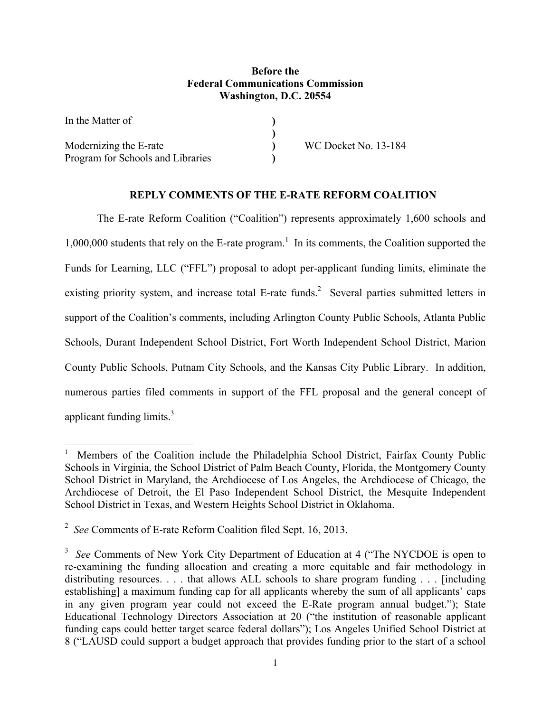## **Before the Federal Communications Commission Washington, D.C. 20554**

| In the Matter of                  |                      |
|-----------------------------------|----------------------|
|                                   |                      |
| Modernizing the E-rate            | WC Docket No. 13-184 |
| Program for Schools and Libraries |                      |

## **REPLY COMMENTS OF THE E-RATE REFORM COALITION**

 The E-rate Reform Coalition ("Coalition") represents approximately 1,600 schools and  $1,000,000$  students that rely on the E-rate program.<sup>1</sup> In its comments, the Coalition supported the Funds for Learning, LLC ("FFL") proposal to adopt per-applicant funding limits, eliminate the existing priority system, and increase total E-rate funds.<sup>2</sup> Several parties submitted letters in support of the Coalition's comments, including Arlington County Public Schools, Atlanta Public Schools, Durant Independent School District, Fort Worth Independent School District, Marion County Public Schools, Putnam City Schools, and the Kansas City Public Library. In addition, numerous parties filed comments in support of the FFL proposal and the general concept of applicant funding limits.<sup>3</sup>

l

<sup>&</sup>lt;sup>1</sup> Members of the Coalition include the Philadelphia School District, Fairfax County Public Schools in Virginia, the School District of Palm Beach County, Florida, the Montgomery County School District in Maryland, the Archdiocese of Los Angeles, the Archdiocese of Chicago, the Archdiocese of Detroit, the El Paso Independent School District, the Mesquite Independent School District in Texas, and Western Heights School District in Oklahoma.

<sup>2</sup> *See* Comments of E-rate Reform Coalition filed Sept. 16, 2013.

<sup>3</sup> *See* Comments of New York City Department of Education at 4 ("The NYCDOE is open to re-examining the funding allocation and creating a more equitable and fair methodology in distributing resources. . . . that allows ALL schools to share program funding . . . [including establishing] a maximum funding cap for all applicants whereby the sum of all applicants' caps in any given program year could not exceed the E-Rate program annual budget."); State Educational Technology Directors Association at 20 ("the institution of reasonable applicant funding caps could better target scarce federal dollars"); Los Angeles Unified School District at 8 ("LAUSD could support a budget approach that provides funding prior to the start of a school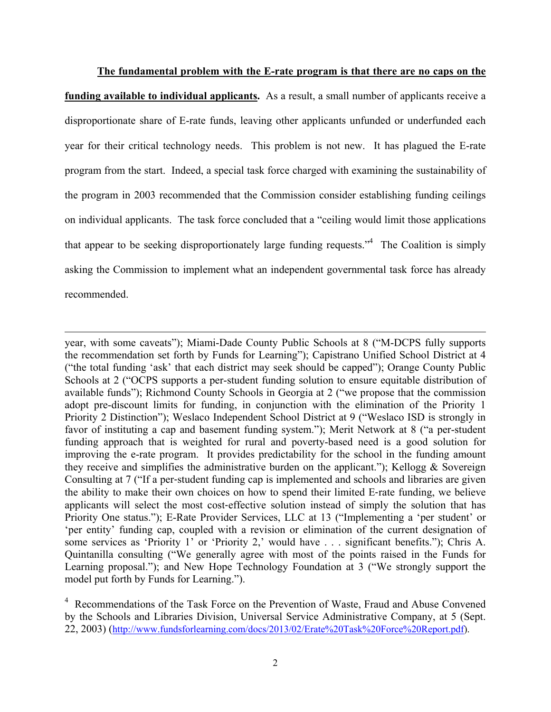**The fundamental problem with the E-rate program is that there are no caps on the funding available to individual applicants.** As a result, a small number of applicants receive a disproportionate share of E-rate funds, leaving other applicants unfunded or underfunded each year for their critical technology needs. This problem is not new. It has plagued the E-rate program from the start. Indeed, a special task force charged with examining the sustainability of the program in 2003 recommended that the Commission consider establishing funding ceilings on individual applicants. The task force concluded that a "ceiling would limit those applications that appear to be seeking disproportionately large funding requests.<sup> $,4$ </sup> The Coalition is simply asking the Commission to implement what an independent governmental task force has already recommended.

year, with some caveats"); Miami-Dade County Public Schools at 8 ("M-DCPS fully supports the recommendation set forth by Funds for Learning"); Capistrano Unified School District at 4 ("the total funding 'ask' that each district may seek should be capped"); Orange County Public Schools at 2 ("OCPS supports a per-student funding solution to ensure equitable distribution of available funds"); Richmond County Schools in Georgia at 2 ("we propose that the commission adopt pre-discount limits for funding, in conjunction with the elimination of the Priority 1 Priority 2 Distinction"); Weslaco Independent School District at 9 ("Weslaco ISD is strongly in favor of instituting a cap and basement funding system."); Merit Network at 8 ("a per-student funding approach that is weighted for rural and poverty-based need is a good solution for improving the e-rate program. It provides predictability for the school in the funding amount they receive and simplifies the administrative burden on the applicant."); Kellogg  $\&$  Sovereign Consulting at 7 ("If a per‐student funding cap is implemented and schools and libraries are given the ability to make their own choices on how to spend their limited E‐rate funding, we believe applicants will select the most cost-effective solution instead of simply the solution that has Priority One status."); E-Rate Provider Services, LLC at 13 ("Implementing a 'per student' or 'per entity' funding cap, coupled with a revision or elimination of the current designation of some services as 'Priority 1' or 'Priority 2,' would have . . . significant benefits."); Chris A. Quintanilla consulting ("We generally agree with most of the points raised in the Funds for Learning proposal."); and New Hope Technology Foundation at 3 ("We strongly support the model put forth by Funds for Learning.").

l

<sup>4</sup> Recommendations of the Task Force on the Prevention of Waste, Fraud and Abuse Convened by the Schools and Libraries Division, Universal Service Administrative Company, at 5 (Sept. 22, 2003) (http://www.fundsforlearning.com/docs/2013/02/Erate%20Task%20Force%20Report.pdf).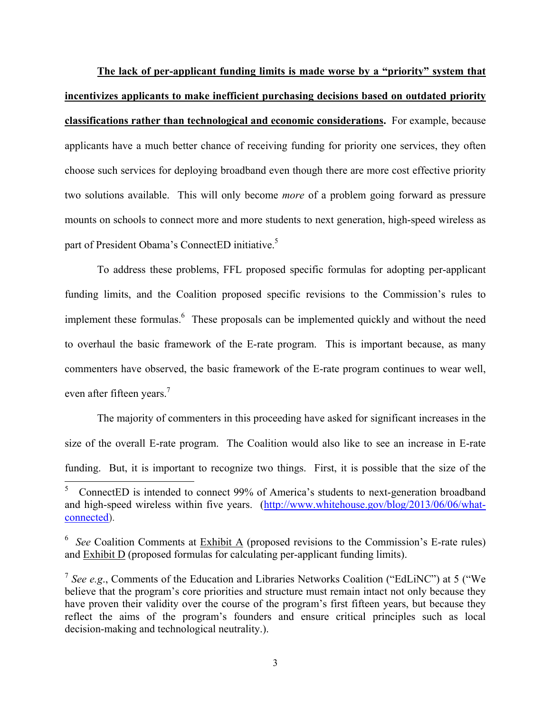**The lack of per-applicant funding limits is made worse by a "priority" system that incentivizes applicants to make inefficient purchasing decisions based on outdated priority classifications rather than technological and economic considerations.** For example, because applicants have a much better chance of receiving funding for priority one services, they often choose such services for deploying broadband even though there are more cost effective priority two solutions available. This will only become *more* of a problem going forward as pressure mounts on schools to connect more and more students to next generation, high-speed wireless as part of President Obama's ConnectED initiative.<sup>5</sup>

 To address these problems, FFL proposed specific formulas for adopting per-applicant funding limits, and the Coalition proposed specific revisions to the Commission's rules to implement these formulas.<sup>6</sup> These proposals can be implemented quickly and without the need to overhaul the basic framework of the E-rate program. This is important because, as many commenters have observed, the basic framework of the E-rate program continues to wear well, even after fifteen years.<sup>7</sup>

 The majority of commenters in this proceeding have asked for significant increases in the size of the overall E-rate program. The Coalition would also like to see an increase in E-rate funding. But, it is important to recognize two things. First, it is possible that the size of the

l

<sup>5</sup> ConnectED is intended to connect 99% of America's students to next-generation broadband and high-speed wireless within five years. (http://www.whitehouse.gov/blog/2013/06/06/whatconnected).

<sup>&</sup>lt;sup>6</sup> See Coalition Comments at Exhibit A (proposed revisions to the Commission's E-rate rules) and Exhibit D (proposed formulas for calculating per-applicant funding limits).

<sup>7</sup> *See e.g*., Comments of the Education and Libraries Networks Coalition ("EdLiNC") at 5 ("We believe that the program's core priorities and structure must remain intact not only because they have proven their validity over the course of the program's first fifteen years, but because they reflect the aims of the program's founders and ensure critical principles such as local decision-making and technological neutrality.).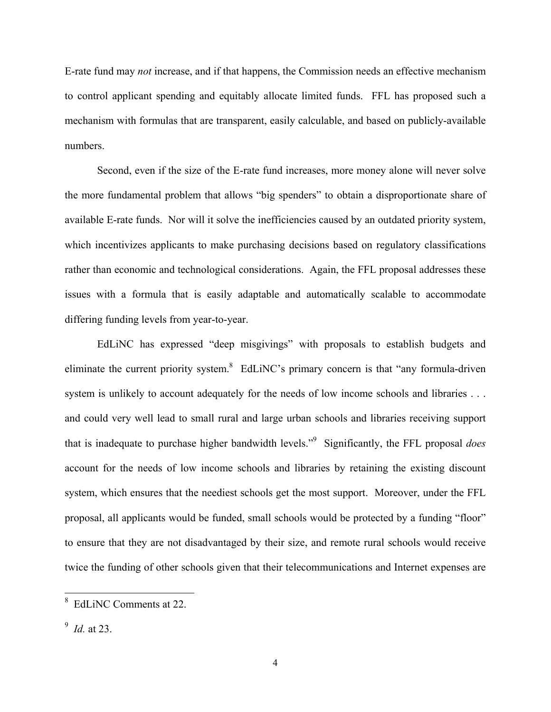E-rate fund may *not* increase, and if that happens, the Commission needs an effective mechanism to control applicant spending and equitably allocate limited funds. FFL has proposed such a mechanism with formulas that are transparent, easily calculable, and based on publicly-available numbers.

 Second, even if the size of the E-rate fund increases, more money alone will never solve the more fundamental problem that allows "big spenders" to obtain a disproportionate share of available E-rate funds. Nor will it solve the inefficiencies caused by an outdated priority system, which incentivizes applicants to make purchasing decisions based on regulatory classifications rather than economic and technological considerations. Again, the FFL proposal addresses these issues with a formula that is easily adaptable and automatically scalable to accommodate differing funding levels from year-to-year.

 EdLiNC has expressed "deep misgivings" with proposals to establish budgets and eliminate the current priority system. $8$  EdLiNC's primary concern is that "any formula-driven" system is unlikely to account adequately for the needs of low income schools and libraries . . . and could very well lead to small rural and large urban schools and libraries receiving support that is inadequate to purchase higher bandwidth levels."9 Significantly, the FFL proposal *does* account for the needs of low income schools and libraries by retaining the existing discount system, which ensures that the neediest schools get the most support. Moreover, under the FFL proposal, all applicants would be funded, small schools would be protected by a funding "floor" to ensure that they are not disadvantaged by their size, and remote rural schools would receive twice the funding of other schools given that their telecommunications and Internet expenses are

<sup>&</sup>lt;sup>8</sup> EdLiNC Comments at 22.

<sup>9</sup> *Id.* at 23.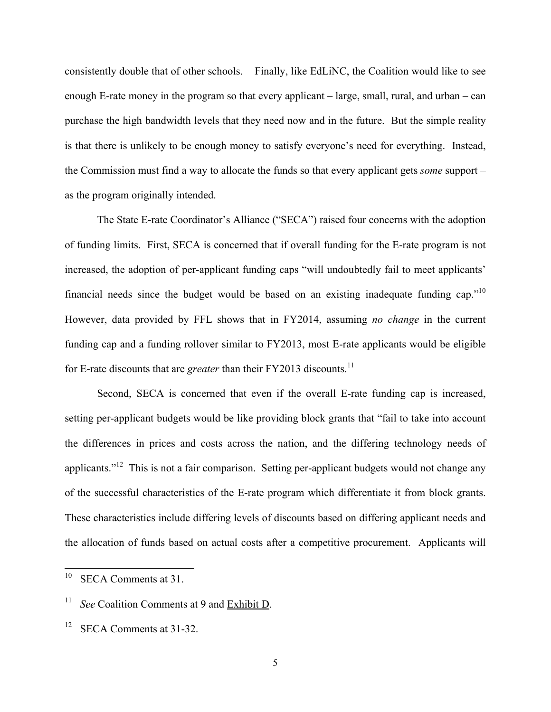consistently double that of other schools. Finally, like EdLiNC, the Coalition would like to see enough E-rate money in the program so that every applicant – large, small, rural, and urban – can purchase the high bandwidth levels that they need now and in the future. But the simple reality is that there is unlikely to be enough money to satisfy everyone's need for everything. Instead, the Commission must find a way to allocate the funds so that every applicant gets *some* support – as the program originally intended.

 The State E-rate Coordinator's Alliance ("SECA") raised four concerns with the adoption of funding limits. First, SECA is concerned that if overall funding for the E-rate program is not increased, the adoption of per-applicant funding caps "will undoubtedly fail to meet applicants' financial needs since the budget would be based on an existing inadequate funding cap." $10$ However, data provided by FFL shows that in FY2014, assuming *no change* in the current funding cap and a funding rollover similar to FY2013, most E-rate applicants would be eligible for E-rate discounts that are *greater* than their FY2013 discounts.<sup>11</sup>

 Second, SECA is concerned that even if the overall E-rate funding cap is increased, setting per-applicant budgets would be like providing block grants that "fail to take into account the differences in prices and costs across the nation, and the differing technology needs of applicants."12 This is not a fair comparison. Setting per-applicant budgets would not change any of the successful characteristics of the E-rate program which differentiate it from block grants. These characteristics include differing levels of discounts based on differing applicant needs and the allocation of funds based on actual costs after a competitive procurement. Applicants will

<sup>10</sup> SECA Comments at 31.

<sup>11</sup> *See* Coalition Comments at 9 and Exhibit D.

 $12$  SECA Comments at 31-32.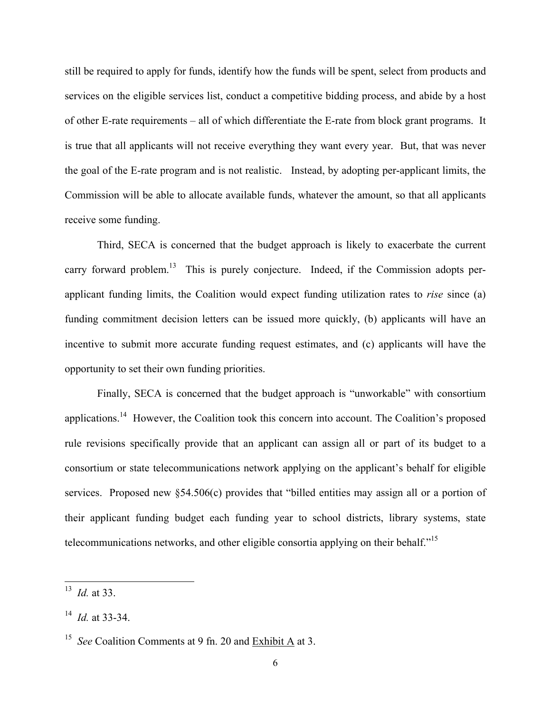still be required to apply for funds, identify how the funds will be spent, select from products and services on the eligible services list, conduct a competitive bidding process, and abide by a host of other E-rate requirements – all of which differentiate the E-rate from block grant programs. It is true that all applicants will not receive everything they want every year. But, that was never the goal of the E-rate program and is not realistic. Instead, by adopting per-applicant limits, the Commission will be able to allocate available funds, whatever the amount, so that all applicants receive some funding.

 Third, SECA is concerned that the budget approach is likely to exacerbate the current carry forward problem.<sup>13</sup> This is purely conjecture. Indeed, if the Commission adopts perapplicant funding limits, the Coalition would expect funding utilization rates to *rise* since (a) funding commitment decision letters can be issued more quickly, (b) applicants will have an incentive to submit more accurate funding request estimates, and (c) applicants will have the opportunity to set their own funding priorities.

 Finally, SECA is concerned that the budget approach is "unworkable" with consortium applications.14 However, the Coalition took this concern into account. The Coalition's proposed rule revisions specifically provide that an applicant can assign all or part of its budget to a consortium or state telecommunications network applying on the applicant's behalf for eligible services. Proposed new §54.506(c) provides that "billed entities may assign all or a portion of their applicant funding budget each funding year to school districts, library systems, state telecommunications networks, and other eligible consortia applying on their behalf."15

l

<sup>13</sup> *Id.* at 33.

<sup>14</sup> *Id.* at 33-34.

<sup>15</sup> *See* Coalition Comments at 9 fn. 20 and Exhibit A at 3.